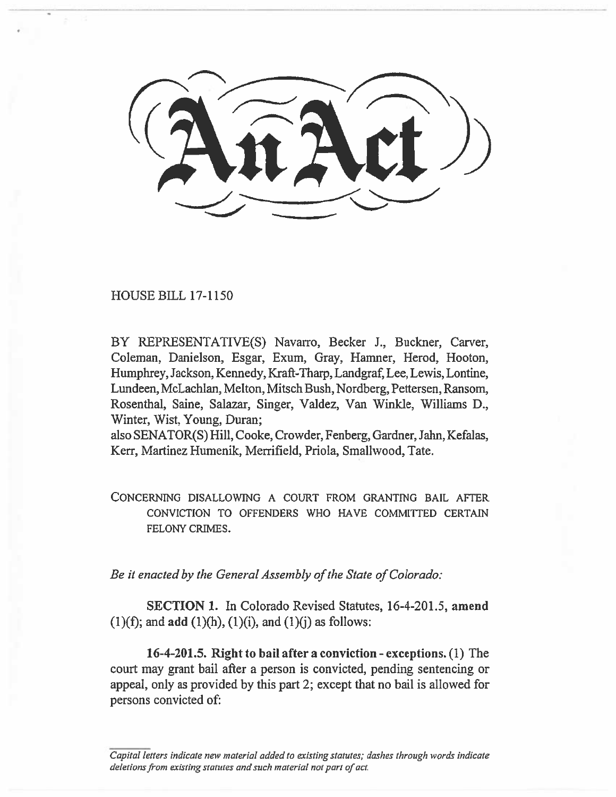HOUSE BILL 17-1150

BY REPRESENTATIVE(S) Navarro, Becker J., Buckner, Carver, Coleman, Danielson, Esgar, Exum, Gray, Hamner, Herod, Hooton, Humphrey, Jackson, Kennedy, Kraft-Tharp, Landgraf, Lee, Lewis, Lontine, Lundeen, McLachlan, Melton, Mitsch Bush, Nordberg, Pettersen, Ransom, Rosenthal, Saine, Salazar, Singer, Valdez, Van Winkle, Williams D., Winter, Wist, Young, Duran;

also SENATOR(S) Hill, Cooke, Crowder, Fenberg, Gardner, Jahn, Kefalas, Kerr, Martinez Humenik, Merrifield, Priola, Smallwood, Tate.

CONCERNING DISALLOWING A COURT FROM GRANTING BAIL AFTER CONVICTION TO OFFENDERS WHO HAVE COMMITTED CERTAIN FELONY CRIMES.

*Be it enacted by the General Assembly of the State of Colorado:* 

**SECTION 1.** In Colorado Revised Statutes, **16-4-201.5, amend**  (1)(f); and **add (1)(h),** (1)(i), and (1)(j) as follows:

**16-4-201.5. Right to bail after a conviction - exceptions.** (1) The court may grant bail after a person is convicted, pending sentencing or appeal, only as provided by this **part** 2; except that no bail is allowed for persons convicted of:

*Capital letters indicate new material added to existing statutes; dashes through words indicate deletions from existing statutes and such material not part of act.*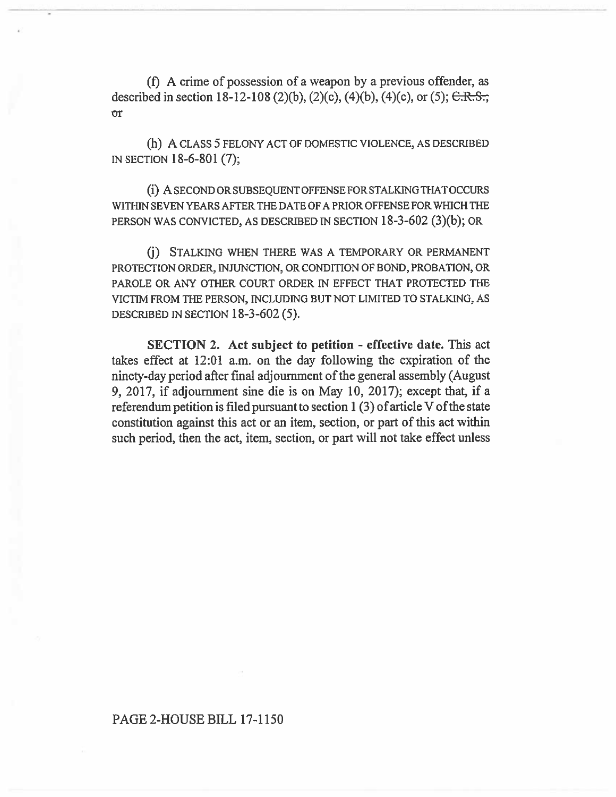(f) A crime of possession of a weapon by a previous offender, as described in section 18-12-108 (2)(b), (2)(c), (4)(b), (4)(c), or (5);  $C.R.S.;$ or

(h) A CLASS 5 FELONY ACT OF DOMESTIC VIOLENCE, AS DESCRIBED IN SECTION 18-6-801 (7);

(i) A SECOND OR SUBSEQUENT OFFENSE FOR STALKING THAT OCCURS WITHIN SEVEN YEARS AFTER THE DATE OF A PRIOR OFFENSE FOR WHICH THE PERSON WAS CONVICTED, AS DESCRIBED IN SECTION 18-3-602 (3)(b); OR

(j) STALKING WHEN THERE WAS A TEMPORARY OR PERMANENT PROTECTION ORDER, INJUNCTION, OR CONDITION OF BOND, PROBATION, OR PAROLE OR ANY OTHER COURT ORDER IN EFFECT THAT PROTECTED THE VICTIM FROM THE PERSON, INCLUDING BUT NOT LIMITED TO STALKING, AS DESCRIBED IN SECTION 18-3-602 (5).

**SECTION 2. Act subject to petition - effective date.** This act takes effect at 12:01 a.m. on the day following the expiration of the ninety-day period after final adjournment of the general assembly (August 9, 2017, if adjournment sine die is on May 10, 2017); except that, if a referendum petition is filed pursuant to section 1 (3) of article V of the state constitution against this act or an item, section, or part of this act within such period, then the act, item, section, or part will not take effect unless

## PAGE 2-HOUSE **BILL 17-1150**